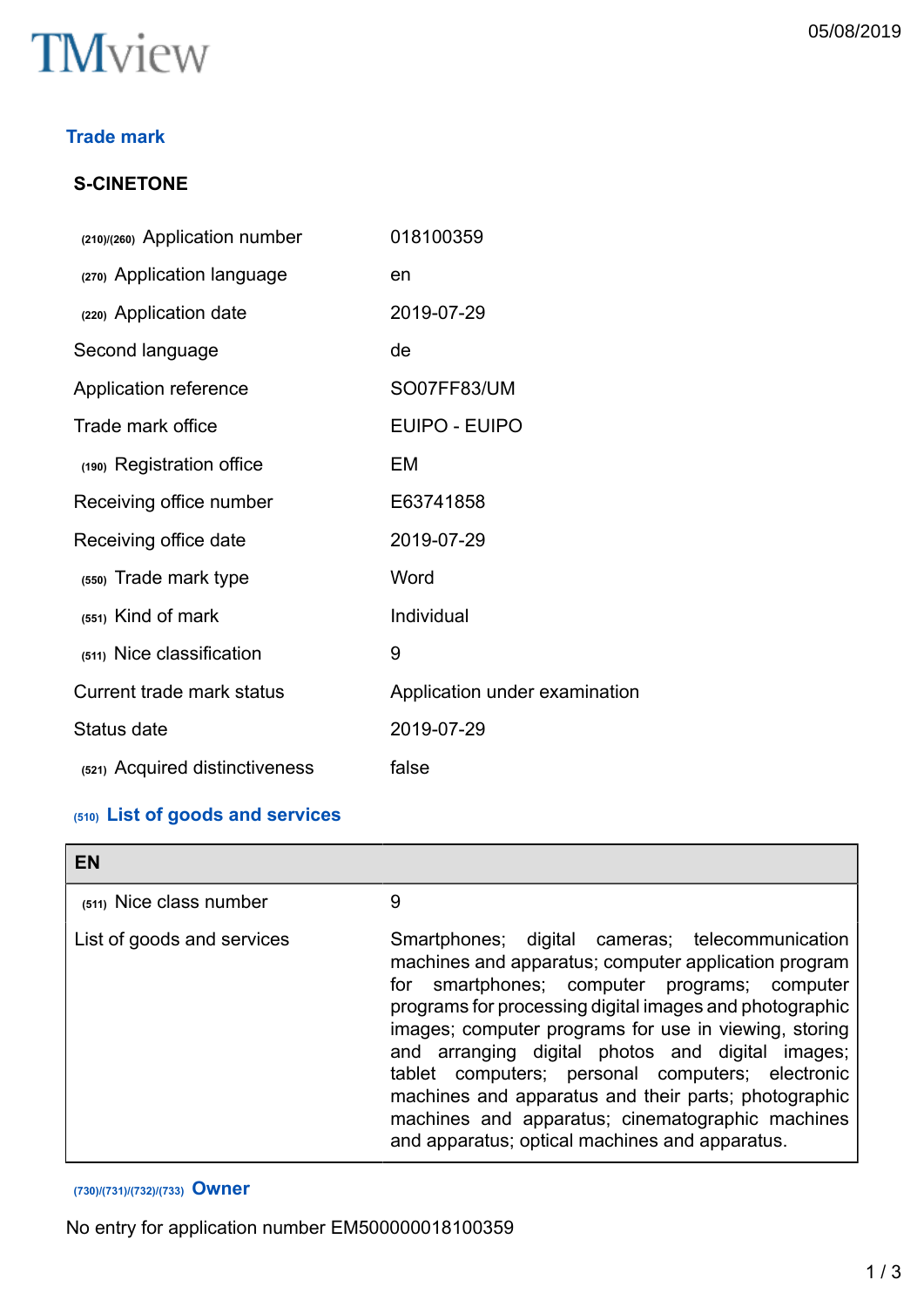

## **Trade mark**

## **S-CINETONE**

| (210)/(260) Application number   | 018100359                     |
|----------------------------------|-------------------------------|
| (270) Application language       | en                            |
| (220) Application date           | 2019-07-29                    |
| Second language                  | de                            |
| Application reference            | SO07FF83/UM                   |
| Trade mark office                | EUIPO - EUIPO                 |
| (190) Registration office        | EM                            |
| Receiving office number          | E63741858                     |
| Receiving office date            | 2019-07-29                    |
| (550) Trade mark type            | Word                          |
| (551) Kind of mark               | Individual                    |
| (511) Nice classification        | 9                             |
| <b>Current trade mark status</b> | Application under examination |
| Status date                      | 2019-07-29                    |
| (521) Acquired distinctiveness   | false                         |

## **(510) List of goods and services**

| <b>EN</b>                  |                                                                                                                                                                                                                                                                                                                                                                                                                                                                                                                                                         |
|----------------------------|---------------------------------------------------------------------------------------------------------------------------------------------------------------------------------------------------------------------------------------------------------------------------------------------------------------------------------------------------------------------------------------------------------------------------------------------------------------------------------------------------------------------------------------------------------|
| (511) Nice class number    | 9                                                                                                                                                                                                                                                                                                                                                                                                                                                                                                                                                       |
| List of goods and services | Smartphones; digital cameras; telecommunication<br>machines and apparatus; computer application program<br>smartphones; computer programs; computer<br>for<br>programs for processing digital images and photographic<br>images; computer programs for use in viewing, storing<br>arranging digital photos and digital images;<br>and<br>tablet computers; personal computers; electronic<br>machines and apparatus and their parts; photographic<br>machines and apparatus; cinematographic machines<br>and apparatus; optical machines and apparatus. |

## **(730)/(731)/(732)/(733) Owner**

No entry for application number EM500000018100359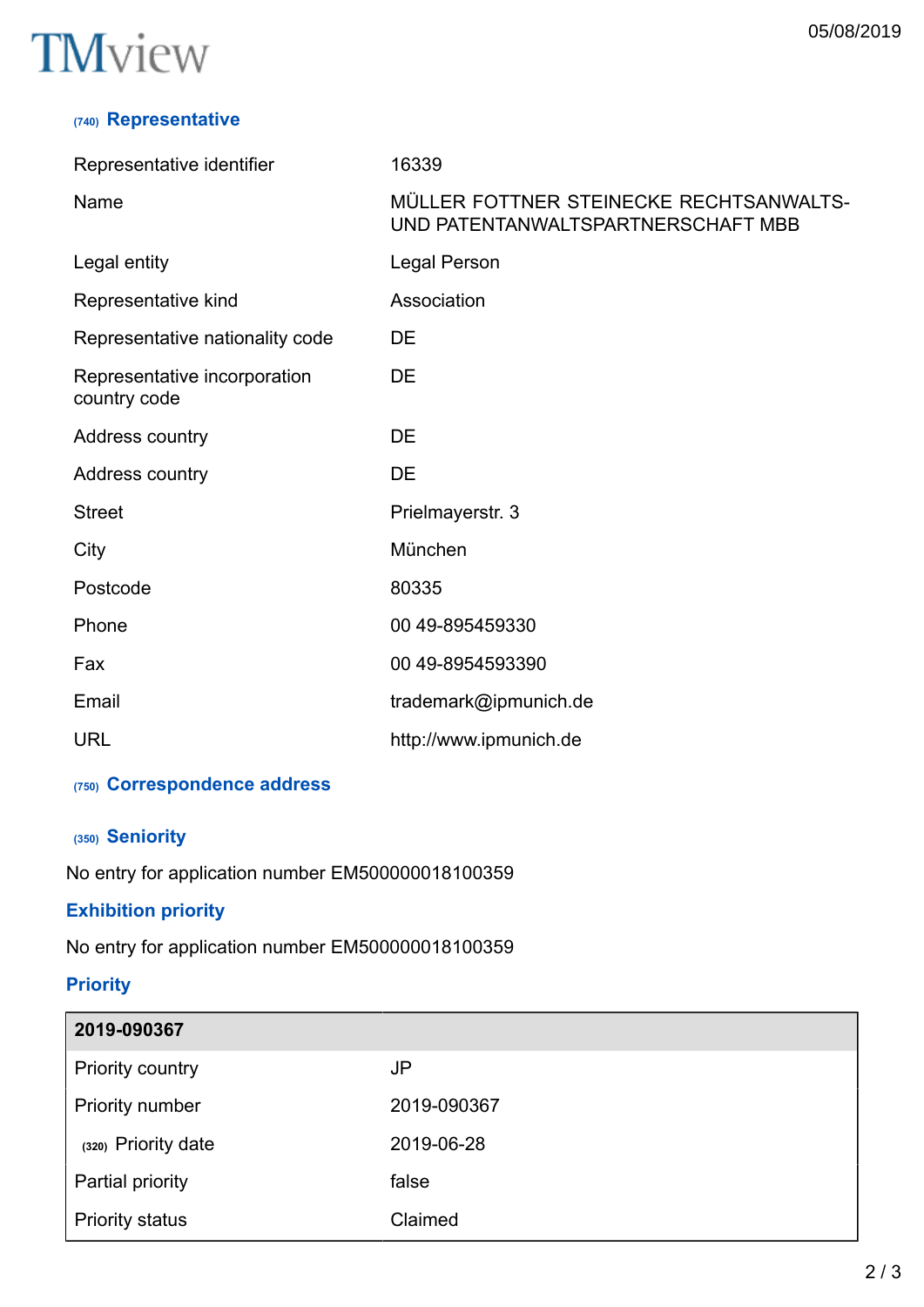# **TM**view

## **(740) Representative**

| Representative identifier                    | 16339                                                                         |
|----------------------------------------------|-------------------------------------------------------------------------------|
| Name                                         | MÜLLER FOTTNER STEINECKE RECHTSANWALTS-<br>UND PATENTANWALTSPARTNERSCHAFT MBB |
| Legal entity                                 | Legal Person                                                                  |
| Representative kind                          | Association                                                                   |
| Representative nationality code              | DE                                                                            |
| Representative incorporation<br>country code | DE                                                                            |
| Address country                              | DE                                                                            |
| Address country                              | DE                                                                            |
| <b>Street</b>                                | Prielmayerstr. 3                                                              |
| City                                         | München                                                                       |
| Postcode                                     | 80335                                                                         |
| Phone                                        | 00 49-895459330                                                               |
| Fax                                          | 00 49-8954593390                                                              |
| Email                                        | trademark@ipmunich.de                                                         |
| <b>URL</b>                                   | http://www.ipmunich.de                                                        |

## **(750) Correspondence address**

## **(350) Seniority**

No entry for application number EM500000018100359

## **Exhibition priority**

No entry for application number EM500000018100359

## **Priority**

| 2019-090367            |             |
|------------------------|-------------|
| Priority country       | JP          |
| Priority number        | 2019-090367 |
| (320) Priority date    | 2019-06-28  |
| Partial priority       | false       |
| <b>Priority status</b> | Claimed     |